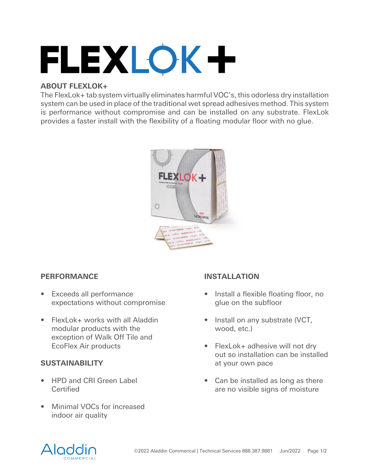# FLEXLOK+

# **ABOUT FLEXLOK+**

The FlexLok+ tab system virtually eliminates harmful VOC's, this odorless dry installation system can be used in place of the traditional wet spread adhesives method. This system is performance without compromise and can be installed on any substrate. FlexLok provides a faster install with the flexibility of a floating modular floor with no glue.



# **PERFORMANCE**

- Exceeds all performance expectations without compromise
- FlexLok+ works with all Aladdin modular products with the exception of Walk Off Tile and EcoFlex Air products

# **SUSTAINABILITY**

- HPD and CRI Green Label Certified
- Minimal VOCs for increased indoor air quality

# **INSTALLATION**

- Install a flexible floating floor, no glue on the subfloor
- Install on any substrate (VCT, wood, etc.)
- FlexLok+ adhesive will not dry out so installation can be installed at your own pace
- Can be installed as long as there are no visible signs of moisture